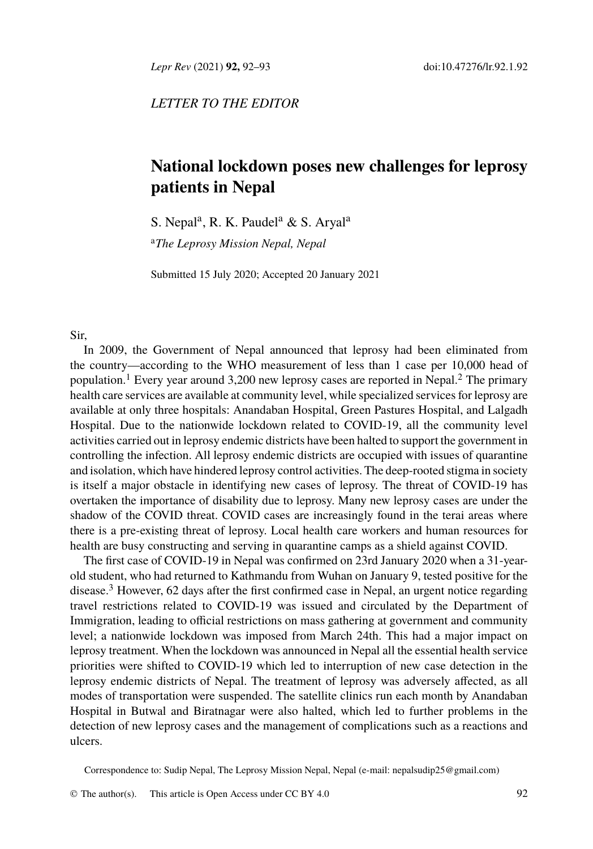*Lepr Rev* (2021) **92,** 92–93 doi:10.47276/lr.92.1.92

*LETTER TO THE EDITOR*

## **National lockdown poses new challenges for leprosy patients in Nepal**

S. Nepal<sup>a</sup>, R. K. Paudel<sup>a</sup> & S. Aryal<sup>a</sup>

<sup>a</sup>*The Leprosy Mission Nepal, Nepal*

Submitted 15 July 2020; Accepted 20 January 2021

## Sir,

In 2009, the Government of Nepal announced that leprosy had been eliminated from the country—according to the WHO measurement of less than 1 case per 10,000 head of population.<sup>1</sup> Every year around 3,200 new leprosy cases are reported in Nepal.<sup>2</sup> The primary health care services are available at community level, while specialized services for leprosy are available at only three hospitals: Anandaban Hospital, Green Pastures Hospital, and Lalgadh Hospital. Due to the nationwide lockdown related to COVID-19, all the community level activities carried out in leprosy endemic districts have been halted to support the government in controll[in](#page-1-0)g the infection. All leprosy endemic districts are occupied with issues of quarantine and isolation, which have hindered leprosy control activities. The deep-rooted stigma in society is itself a major obstacle in identifying new cases of leprosy. The threat of COVID-19 has overtaken the importance of disability due to leprosy. Many new leprosy cases are under the shadow of the COVID threat. COVID cases are increasingly found in the terai areas where there is a pre-existing threat of leprosy. Local health care workers and human resources for health are busy constructing and serving in quarantine camps as a shield against COVID.

The first case of COVID-19 in Nepal was confirmed on 23rd January 2020 when a 31-yearold student, who had returned to Kathmandu from Wuhan on January 9, tested positive for the disease.<sup>3</sup> However, 62 days after the first confirmed case in Nepal, an urgent notice regarding travel restrictions related to COVID-19 was issued and circulated by the Department of Immigration, leading to official restrictions on mass gathering at government and community level; a nationwide lockdown was imposed from March 24th. [This had a major imp](mailto:nepalsudip25@gmail.com)act on leprosy treatment. When the lockdown was announced in Nepal all the essential health service priorities were shifted to COVID-19 whic[h led to in](http://creativecommons.org/licenses/by/4.0/)terruption of new case detection in the leprosy endemic districts of Nepal. The treatment of leprosy was adversely affected, as all modes of transportation were suspended. The satellite clinics run each month by Anandaban Hospital in Butwal and Biratnagar were also halted, which led to further problems in the detection of new leprosy cases and the management of complications such as a reactions and ulcers.

Correspondence to: Sudip Nepal, The Leprosy Mission Nepal, Nepal (e-mail: nepalsudip25@gmail.com)